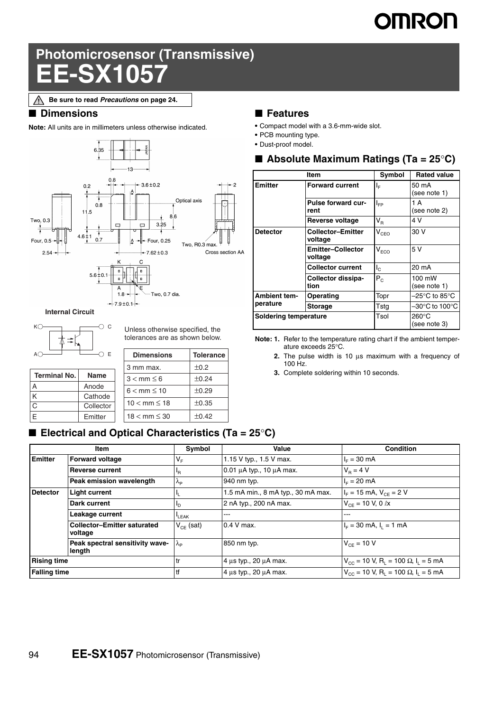# **IMRON**

## **Photomicrosensor (Transmissive) EE-SX1057**

### ■ **Dimensions**

**Note:** All units are in millimeters unless otherwise indicated.



**Internal Circuit**



Unless otherwise specified, the tolerances are as shown below.

| A(                  | Ε           | <b>Dimensions</b>        | Tolerance  |  |  |
|---------------------|-------------|--------------------------|------------|--|--|
|                     |             | 3 mm max.                | ±0.2       |  |  |
| <b>Terminal No.</b> | <b>Name</b> | $3 < mm \leq 6$          | ±0.24      |  |  |
| A                   | Anode       | $6 < \text{mm} \leq 10$  | ±0.29      |  |  |
| K                   | Cathode     |                          |            |  |  |
| C                   | Collector   | $10 < \text{mm} \le 18$  | $\pm 0.35$ |  |  |
| F                   | Emitter     | $18 < \text{mm} \leq 30$ | ±0.42      |  |  |
|                     |             |                          |            |  |  |

## ■ **Features**

- **•** Compact model with a 3.6-mm-wide slot.
- **•** PCB mounting type.
- **•** Dust-proof model.

|  |  |  |  | Absolute Maximum Ratings (Ta = $25^{\circ}$ C) |
|--|--|--|--|------------------------------------------------|
|--|--|--|--|------------------------------------------------|

|                                 | Item                                | Symbol      | <b>Rated value</b>              |
|---------------------------------|-------------------------------------|-------------|---------------------------------|
| <b>Emitter</b>                  | <b>Forward current</b>              | ΙĒ          | 50 mA<br>(see note 1)           |
|                                 | <b>Pulse forward cur-</b><br>rent   | $I_{FP}$    | 1 A<br>(see note 2)             |
|                                 | Reverse voltage                     | $V_{\rm R}$ | 4 V                             |
| <b>Detector</b>                 | <b>Collector-Emitter</b><br>voltage | $V_{CEO}$   | 30 V                            |
|                                 | <b>Emitter-Collector</b><br>voltage | $V_{ECO}$   | 5 V                             |
|                                 | <b>Collector current</b>            | $I_{\rm C}$ | 20 mA                           |
|                                 | Collector dissipa-<br>tion          | $P_{C}$     | 100 mW<br>(see note 1)          |
| <b>Ambient tem-</b><br>perature | Operating                           | Topr        | –25°C to 85°C                   |
|                                 | <b>Storage</b>                      | Tstg        | –30°C to 100°C                  |
| Soldering temperature           |                                     | Tsol        | $260^{\circ}$ C<br>(see note 3) |

**Note: 1.** Refer to the temperature rating chart if the ambient temperature exceeds 25°C.

- **2.** The pulse width is 10 μs maximum with a frequency of 100 Hz.
- **3.** Complete soldering within 10 seconds.

| ■ Electrical and Optical Characteristics (Ta = 25°C) |  |  |
|------------------------------------------------------|--|--|
|------------------------------------------------------|--|--|

|                     | Item                                          | Symbol               | Value                              | <b>Condition</b>                                                              |
|---------------------|-----------------------------------------------|----------------------|------------------------------------|-------------------------------------------------------------------------------|
| <b>Emitter</b>      | <b>Forward voltage</b>                        | V <sub>F</sub>       | 1.15 V typ., 1.5 V max.            | $I_{E} = 30$ mA                                                               |
|                     | <b>Reverse current</b>                        | 'R                   | $0.01 \mu A$ typ., 10 $\mu A$ max. | $V_p = 4 V$                                                                   |
|                     | Peak emission wavelength                      | $\Lambda_{\text{P}}$ | 940 nm typ.                        | $I_{E} = 20$ mA                                                               |
| <b>Detector</b>     | <b>Light current</b>                          |                      | 1.5 mA min., 8 mA typ., 30 mA max. | $I_F = 15$ mA, $V_{CF} = 2$ V                                                 |
|                     | Dark current                                  | םי                   | 2 nA typ., 200 nA max.             | $V_{CF}$ = 10 V, 0 $\ell$ x                                                   |
|                     | Leakage current                               | LEAK                 | ---                                | ---                                                                           |
|                     | <b>Collector-Emitter saturated</b><br>voltage | $V_{CF}$ (sat)       | $0.4$ V max.                       | $I_F = 30$ mA, $I_1 = 1$ mA                                                   |
|                     | Peak spectral sensitivity wave-<br>length     | λρ                   | 850 nm typ.                        | $V_{CF} = 10 V$                                                               |
| <b>Rising time</b>  |                                               | tr                   | 4 μs typ., 20 μA max.              | $V_{\text{CC}}$ = 10 V, R <sub>L</sub> = 100 $\Omega$ , I <sub>L</sub> = 5 mA |
| <b>Falling time</b> |                                               | tf                   | 4 us typ., 20 uA max.              | $V_{\text{CC}}$ = 10 V, R <sub>L</sub> = 100 $\Omega$ , I <sub>L</sub> = 5 mA |